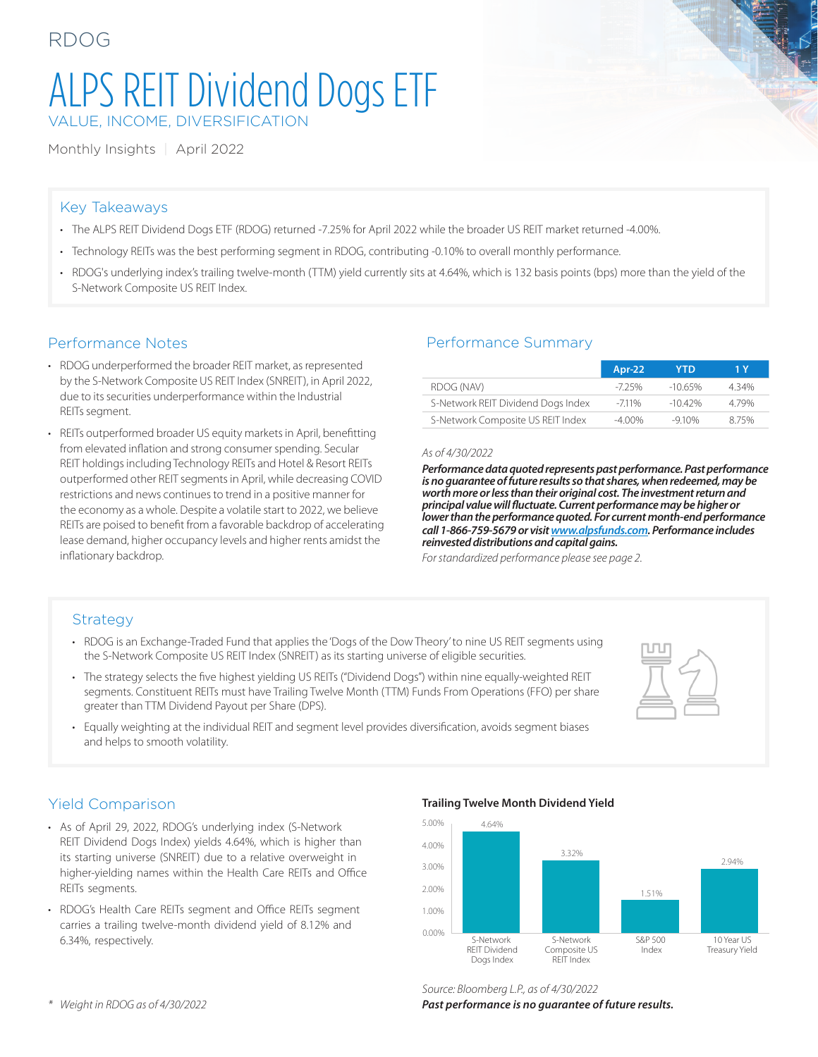## RDOG

# ALPS REIT Dividend Dogs ETF VALUE, INCOME, DIVERSIFICATION

Monthly Insights | April 2022

### Key Takeaways

- The ALPS REIT Dividend Dogs ETF (RDOG) returned -7.25% for April 2022 while the broader US REIT market returned -4.00%.
- Technology REITs was the best performing segment in RDOG, contributing -0.10% to overall monthly performance.
- RDOG's underlying index's trailing twelve-month (TTM) yield currently sits at 4.64%, which is 132 basis points (bps) more than the yield of the S-Network Composite US REIT Index.

### Performance Notes

- RDOG underperformed the broader REIT market, as represented by the S-Network Composite US REIT Index (SNREIT), in April 2022, due to its securities underperformance within the Industrial REITs segment.
- REITs outperformed broader US equity markets in April, benefitting from elevated inflation and strong consumer spending. Secular REIT holdings including Technology REITs and Hotel & Resort REITs outperformed other REIT segments in April, while decreasing COVID restrictions and news continues to trend in a positive manner for the economy as a whole. Despite a volatile start to 2022, we believe REITs are poised to benefit from a favorable backdrop of accelerating lease demand, higher occupancy levels and higher rents amidst the inflationary backdrop.

### Performance Summary

|                                    | Apr-22    | YTD        | 1 Y   |
|------------------------------------|-----------|------------|-------|
| RDOG (NAV)                         | -725%     | $-1065%$   | 4 34% |
| S-Network REIT Dividend Dogs Index | $-7.11%$  | $-10.42\%$ | 479%  |
| S-Network Composite US REIT Index  | $-4.00\%$ | $-910%$    | 875%  |

#### *As of 4/30/2022*

*Performance data quoted represents past performance. Past performance is no guarantee of future results so that shares, when redeemed, may be worth more or less than their original cost. The investment return and principal value will fluctuate. Current performance may be higher or lower than the performance quoted. For current month-end performance call 1-866-759-5679 or visit [www.alpsfunds.com](http://www.alpsfunds.com). Performance includes reinvested distributions and capital gains.*

*For standardized performance please see page 2.*

### **Strategy**

- RDOG is an Exchange-Traded Fund that applies the 'Dogs of the Dow Theory' to nine US REIT segments using the S-Network Composite US REIT Index (SNREIT) as its starting universe of eligible securities.
- The strategy selects the five highest yielding US REITs ("Dividend Dogs") within nine equally-weighted REIT segments. Constituent REITs must have Trailing Twelve Month (TTM) Funds From Operations (FFO) per share greater than TTM Dividend Payout per Share (DPS).
- Equally weighting at the individual REIT and segment level provides diversification, avoids segment biases and helps to smooth volatility.



### Yield Comparison

- As of April 29, 2022, RDOG's underlying index (S-Network REIT Dividend Dogs Index) yields 4.64%, which is higher than its starting universe (SNREIT) due to a relative overweight in higher-yielding names within the Health Care REITs and Office REITs segments.
- RDOG's Health Care REITs segment and Office REITs segment carries a trailing twelve-month dividend yield of 8.12% and 6.34%, respectively.

#### **Trailing Twelve Month Dividend Yield**



### *Source: Bloomberg L.P., as of 4/30/2022*

*Past performance is no guarantee of future results.*

*\* Weight in RDOG as of 4/30/2022*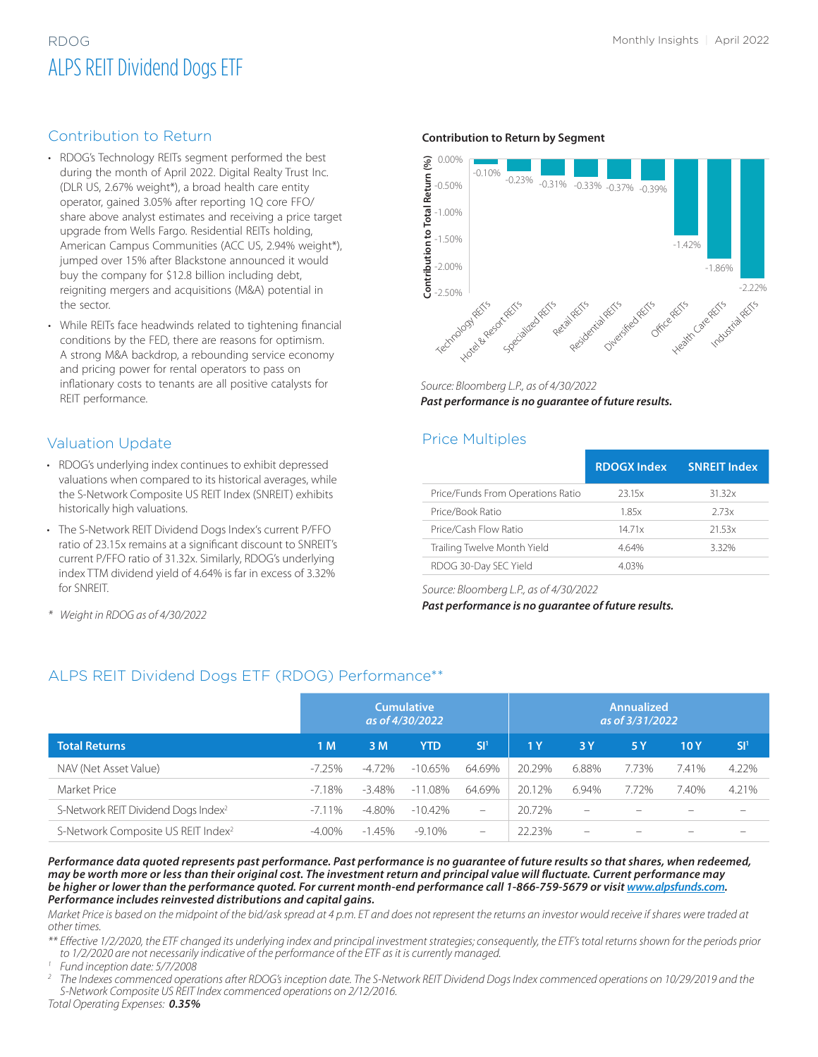## RDOG Monthly Insights | April 2022 ALPS REIT Dividend Dogs ETF

### Contribution to Return

- RDOG's Technology REITs segment performed the best during the month of April 2022. Digital Realty Trust Inc. (DLR US, 2.67% weight\*), a broad health care entity operator, gained 3.05% after reporting 1Q core FFO/ share above analyst estimates and receiving a price target upgrade from Wells Fargo. Residential REITs holding, American Campus Communities (ACC US, 2.94% weight\*), jumped over 15% after Blackstone announced it would buy the company for \$12.8 billion including debt, reigniting mergers and acquisitions (M&A) potential in the sector.
- While REITs face headwinds related to tightening financial conditions by the FED, there are reasons for optimism. A strong M&A backdrop, a rebounding service economy and pricing power for rental operators to pass on inflationary costs to tenants are all positive catalysts for REIT performance.

### Valuation Update

- RDOG's underlying index continues to exhibit depressed valuations when compared to its historical averages, while the S-Network Composite US REIT Index (SNREIT) exhibits historically high valuations.
- The S-Network REIT Dividend Dogs Index's current P/FFO ratio of 23.15x remains at a significant discount to SNREIT's current P/FFO ratio of 31.32x. Similarly, RDOG's underlying index TTM dividend yield of 4.64% is far in excess of 3.32% for SNREIT.
- 

#### **Contribution to Return by Segment**



*Source: Bloomberg L.P., as of 4/30/2022 Past performance is no guarantee of future results.*

### Price Multiples

|                                   | <b>RDOGX Index</b> | <b>SNREIT Index</b> |
|-----------------------------------|--------------------|---------------------|
| Price/Funds From Operations Ratio | 23.15x             | 31.32x              |
| Price/Book Ratio                  | 185x               | 2.73x               |
| Price/Cash Flow Ratio             | 1471x              | 21.53x              |
| Trailing Twelve Month Yield       | 4.64%              | 3.32%               |
| RDOG 30-Day SEC Yield             | 4.03%              |                     |

*Source: Bloomberg L.P., as of 4/30/2022*

*Past performance is no guarantee of future results. \* Weight in RDOG as of 4/30/2022*

### ALPS REIT Dividend Dogs ETF (RDOG) Performance\*\*

|                                                 | <b>Cumulative</b><br>as of 4/30/2022 |           |            | Annualized<br>as of 3/31/2022 |                |                          |                          |       |                 |
|-------------------------------------------------|--------------------------------------|-----------|------------|-------------------------------|----------------|--------------------------|--------------------------|-------|-----------------|
| <b>Total Returns</b>                            | 1 M                                  | 3 M       | <b>YTD</b> | SI <sup>1</sup>               | 1 <sub>Y</sub> | 3Y                       | 5 Y                      | 10 Y  | SI <sup>1</sup> |
| NAV (Net Asset Value)                           | $-7.25\%$                            | -4.72%    | $-10.65\%$ | 64.69%                        | 20.29%         | 6.88%                    | 7.73%                    | 7.41% | 4.22%           |
| Market Price                                    | $-7.18\%$                            | $-3.48\%$ | $-11.08\%$ | 64.69%                        | 20.12%         | 6.94%                    | 7.72%                    | 7.40% | 4.21%           |
| S-Network REIT Dividend Dogs Index <sup>2</sup> | $-7.11\%$                            | $-4.80\%$ | $-10.42\%$ | $\qquad \qquad -$             | 20.72%         | $\overline{\phantom{0}}$ | $\overline{\phantom{a}}$ |       | -               |
| S-Network Composite US REIT Index <sup>2</sup>  | $-4.00\%$                            | $-1.45%$  | $-9.10%$   | $\overline{\phantom{a}}$      | 22.23%         | $\overline{\phantom{a}}$ |                          |       |                 |

*Performance data quoted represents past performance. Past performance is no guarantee of future results so that shares, when redeemed, may be worth more or less than their original cost. The investment return and principal value will fluctuate. Current performance may*  be higher or lower than the performance quoted. For current month-end performance call 1-866-759-5679 or visit *www.alpsfunds.com. Performance includes reinvested distributions and capital gains.*

*Market Price is based on the midpoint of the bid/ask spread at 4 p.m. ET and does not represent the returns an investor would receive if shares were traded at other times.*

*\*\* Effective 1/2/2020, the ETF changed its underlying index and principal investment strategies; consequently, the ETF's total returns shown for the periods prior to 1/2/2020 are not necessarily indicative of the performance of the ETF as it is currently managed. 1 Fund inception date: 5/7/2008*

*<sup>2</sup> The Indexes commenced operations after RDOG's inception date. The S-Network REIT Dividend Dogs Index commenced operations on 10/29/2019 and the S-Network Composite US REIT Index commenced operations on 2/12/2016.*

*Total Operating Expenses: 0.35%*